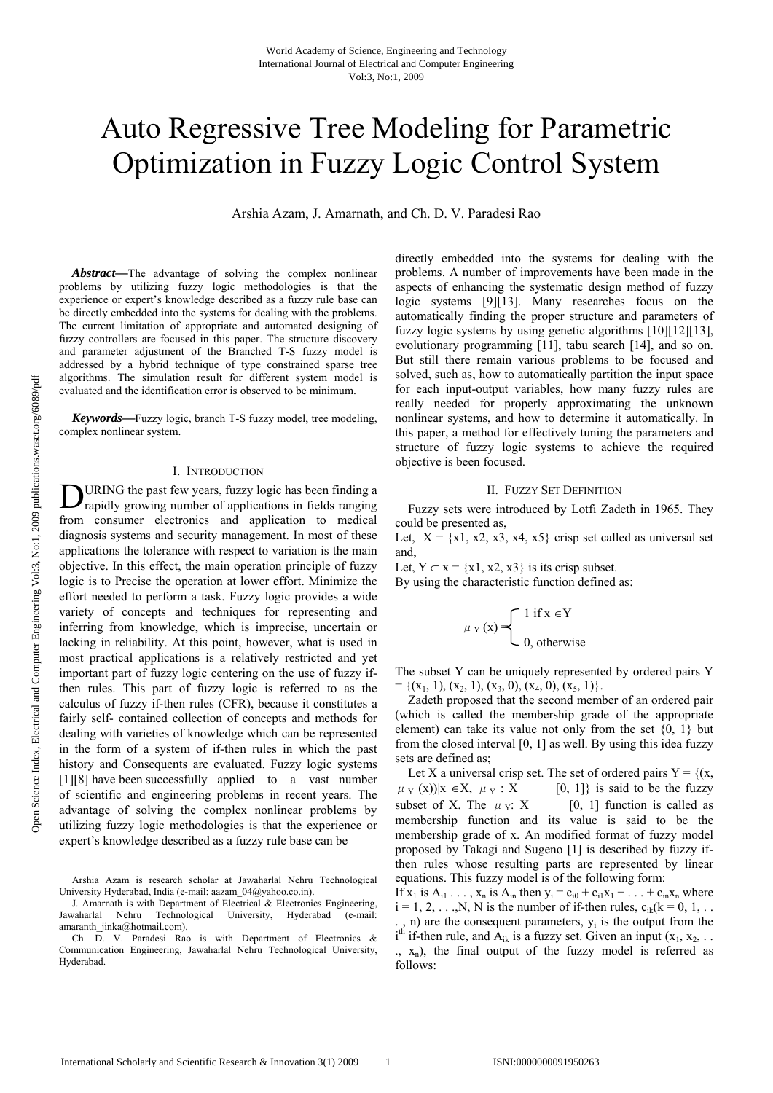# Auto Regressive Tree Modeling for Parametric Optimization in Fuzzy Logic Control System

Arshia Azam, J. Amarnath, and Ch. D. V. Paradesi Rao

*Abstract***—**The advantage of solving the complex nonlinear problems by utilizing fuzzy logic methodologies is that the experience or expert's knowledge described as a fuzzy rule base can be directly embedded into the systems for dealing with the problems. The current limitation of appropriate and automated designing of fuzzy controllers are focused in this paper. The structure discovery and parameter adjustment of the Branched T-S fuzzy model is addressed by a hybrid technique of type constrained sparse tree algorithms. The simulation result for different system model is evaluated and the identification error is observed to be minimum.

*Keywords***—**Fuzzy logic, branch T-S fuzzy model, tree modeling, complex nonlinear system.

#### I. INTRODUCTION

URING the past few years, fuzzy logic has been finding a **D**URING the past few years, fuzzy logic has been finding a rapidly growing number of applications in fields ranging from consumer electronics and application to medical diagnosis systems and security management. In most of these applications the tolerance with respect to variation is the main objective. In this effect, the main operation principle of fuzzy logic is to Precise the operation at lower effort. Minimize the effort needed to perform a task. Fuzzy logic provides a wide variety of concepts and techniques for representing and inferring from knowledge, which is imprecise, uncertain or lacking in reliability. At this point, however, what is used in most practical applications is a relatively restricted and yet important part of fuzzy logic centering on the use of fuzzy ifthen rules. This part of fuzzy logic is referred to as the calculus of fuzzy if-then rules (CFR), because it constitutes a fairly self- contained collection of concepts and methods for dealing with varieties of knowledge which can be represented in the form of a system of if-then rules in which the past history and Consequents are evaluated. Fuzzy logic systems [1][8] have been successfully applied to a vast number of scientific and engineering problems in recent years. The advantage of solving the complex nonlinear problems by utilizing fuzzy logic methodologies is that the experience or expert's knowledge described as a fuzzy rule base can be

Arshia Azam is research scholar at Jawaharlal Nehru Technological University Hyderabad, India (e-mail: aazam\_04@yahoo.co.in).

J. Amarnath is with Department of Electrical  $\&$  Electronics Engineering, Jawaharlal Nehru Technological University, Hyderabad (e-mail: amaranth\_jinka@hotmail.com).

Ch. D. V. Paradesi Rao is with Department of Electronics & Communication Engineering, Jawaharlal Nehru Technological University, Hyderabad.

directly embedded into the systems for dealing with the problems. A number of improvements have been made in the aspects of enhancing the systematic design method of fuzzy logic systems [9][13]. Many researches focus on the automatically finding the proper structure and parameters of fuzzy logic systems by using genetic algorithms [10][12][13], evolutionary programming [11], tabu search [14], and so on. But still there remain various problems to be focused and solved, such as, how to automatically partition the input space for each input-output variables, how many fuzzy rules are really needed for properly approximating the unknown nonlinear systems, and how to determine it automatically. In this paper, a method for effectively tuning the parameters and structure of fuzzy logic systems to achieve the required objective is been focused.

#### II. FUZZY SET DEFINITION

Fuzzy sets were introduced by Lotfi Zadeth in 1965. They could be presented as,

Let,  $X = \{x1, x2, x3, x4, x5\}$  crisp set called as universal set and,

Let,  $Y \subset x = \{x1, x2, x3\}$  is its crisp subset. By using the characteristic function defined as:

$$
\mu_Y(x) = \begin{cases} 1 & \text{if } x \in Y \\ 0, & \text{otherwise} \end{cases}
$$

The subset Y can be uniquely represented by ordered pairs Y  $= \{ (x_1, 1), (x_2, 1), (x_3, 0), (x_4, 0), (x_5, 1) \}.$ 

Zadeth proposed that the second member of an ordered pair (which is called the membership grade of the appropriate element) can take its value not only from the set {0, 1} but from the closed interval [0, 1] as well. By using this idea fuzzy sets are defined as;

Let X a universal crisp set. The set of ordered pairs  $Y = \{(x,$  $\mu_Y(x)$ ||x ∈X,  $\mu_Y$  : X [0, 1]} is said to be the fuzzy subset of X. The  $\mu_Y$ : X [0, 1] function is called as membership function and its value is said to be the membership grade of x. An modified format of fuzzy model proposed by Takagi and Sugeno [1] is described by fuzzy ifthen rules whose resulting parts are represented by linear equations. This fuzzy model is of the following form:

If  $x_1$  is  $A_{i1}$ ...,  $x_n$  is  $A_{in}$  then  $y_i = c_{i0} + c_{i1}x_1 + ... + c_{in}x_n$  where  $i = 1, 2, \ldots, N$ , N is the number of if-then rules,  $c_{ik}(k = 0, 1, \ldots)$  $(n)$  are the consequent parameters,  $y_i$  is the output from the  $i^{th}$  if-then rule, and  $A_{ik}$  is a fuzzy set. Given an input  $(x_1, x_2, ...$  $(x, x_n)$ , the final output of the fuzzy model is referred as follows: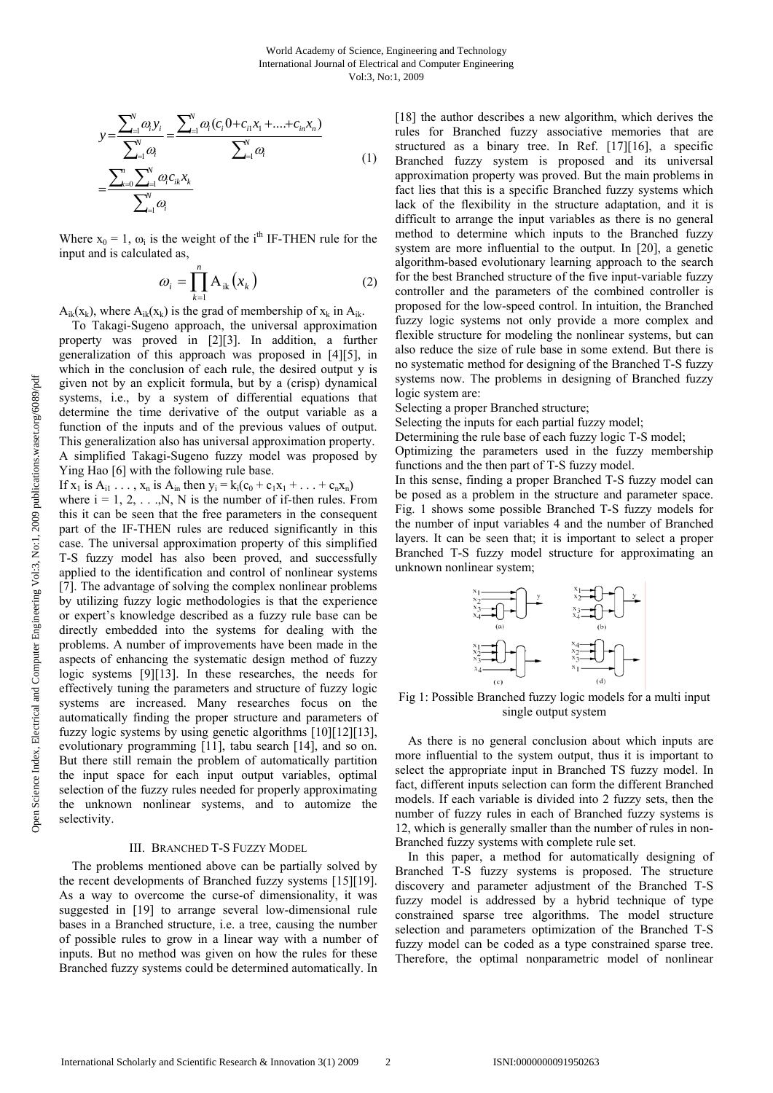$$
y = \frac{\sum_{i=1}^{N} \omega_i y_i}{\sum_{i=1}^{N} \omega_i} = \frac{\sum_{i=1}^{N} \omega_i (c_i 0 + c_{i1} x_1 + \dots + c_{in} x_n)}{\sum_{i=1}^{N} \omega_i}
$$
  
= 
$$
\frac{\sum_{k=0}^{n} \sum_{i=1}^{N} \omega_i c_{ik} x_k}{\sum_{i=1}^{N} \omega_i}
$$
 (1)

Where  $x_0 = 1$ ,  $\omega_i$  is the weight of the i<sup>th</sup> IF-THEN rule for the input and is calculated as,

$$
\omega_i = \prod_{k=1}^n A_{ik}(x_k)
$$
 (2)

 $A_{ik}(x_k)$ , where  $A_{ik}(x_k)$  is the grad of membership of  $x_k$  in  $A_{ik}$ .

To Takagi-Sugeno approach, the universal approximation property was proved in [2][3]. In addition, a further generalization of this approach was proposed in [4][5], in which in the conclusion of each rule, the desired output y is given not by an explicit formula, but by a (crisp) dynamical systems, i.e., by a system of differential equations that determine the time derivative of the output variable as a function of the inputs and of the previous values of output. This generalization also has universal approximation property. A simplified Takagi-Sugeno fuzzy model was proposed by Ying Hao [6] with the following rule base.

If  $x_1$  is  $A_{i1}$ ...,  $x_n$  is  $A_{in}$  then  $y_i = k_i(c_0 + c_1x_1 + ... + c_nx_n)$ 

where  $i = 1, 2, \ldots, N$ , N is the number of if-then rules. From this it can be seen that the free parameters in the consequent part of the IF-THEN rules are reduced significantly in this case. The universal approximation property of this simplified T-S fuzzy model has also been proved, and successfully applied to the identification and control of nonlinear systems [7]. The advantage of solving the complex nonlinear problems by utilizing fuzzy logic methodologies is that the experience or expert's knowledge described as a fuzzy rule base can be directly embedded into the systems for dealing with the problems. A number of improvements have been made in the aspects of enhancing the systematic design method of fuzzy logic systems [9][13]. In these researches, the needs for effectively tuning the parameters and structure of fuzzy logic systems are increased. Many researches focus on the automatically finding the proper structure and parameters of fuzzy logic systems by using genetic algorithms [10][12][13], evolutionary programming [11], tabu search [14], and so on. But there still remain the problem of automatically partition the input space for each input output variables, optimal selection of the fuzzy rules needed for properly approximating the unknown nonlinear systems, and to automize the selectivity.

# III. BRANCHED T-S FUZZY MODEL

The problems mentioned above can be partially solved by the recent developments of Branched fuzzy systems [15][19]. As a way to overcome the curse-of dimensionality, it was suggested in [19] to arrange several low-dimensional rule bases in a Branched structure, i.e. a tree, causing the number of possible rules to grow in a linear way with a number of inputs. But no method was given on how the rules for these Branched fuzzy systems could be determined automatically. In

[18] the author describes a new algorithm, which derives the rules for Branched fuzzy associative memories that are structured as a binary tree. In Ref. [17][16], a specific Branched fuzzy system is proposed and its universal approximation property was proved. But the main problems in fact lies that this is a specific Branched fuzzy systems which lack of the flexibility in the structure adaptation, and it is difficult to arrange the input variables as there is no general method to determine which inputs to the Branched fuzzy system are more influential to the output. In [20], a genetic algorithm-based evolutionary learning approach to the search for the best Branched structure of the five input-variable fuzzy controller and the parameters of the combined controller is proposed for the low-speed control. In intuition, the Branched fuzzy logic systems not only provide a more complex and flexible structure for modeling the nonlinear systems, but can also reduce the size of rule base in some extend. But there is no systematic method for designing of the Branched T-S fuzzy systems now. The problems in designing of Branched fuzzy logic system are:

Selecting a proper Branched structure;

Selecting the inputs for each partial fuzzy model;

Determining the rule base of each fuzzy logic T-S model;

Optimizing the parameters used in the fuzzy membership functions and the then part of T-S fuzzy model.

In this sense, finding a proper Branched T-S fuzzy model can be posed as a problem in the structure and parameter space. Fig. 1 shows some possible Branched T-S fuzzy models for the number of input variables 4 and the number of Branched layers. It can be seen that; it is important to select a proper Branched T-S fuzzy model structure for approximating an unknown nonlinear system;



Fig 1: Possible Branched fuzzy logic models for a multi input single output system

As there is no general conclusion about which inputs are more influential to the system output, thus it is important to select the appropriate input in Branched TS fuzzy model. In fact, different inputs selection can form the different Branched models. If each variable is divided into 2 fuzzy sets, then the number of fuzzy rules in each of Branched fuzzy systems is 12, which is generally smaller than the number of rules in non-Branched fuzzy systems with complete rule set.

In this paper, a method for automatically designing of Branched T-S fuzzy systems is proposed. The structure discovery and parameter adjustment of the Branched T-S fuzzy model is addressed by a hybrid technique of type constrained sparse tree algorithms. The model structure selection and parameters optimization of the Branched T-S fuzzy model can be coded as a type constrained sparse tree. Therefore, the optimal nonparametric model of nonlinear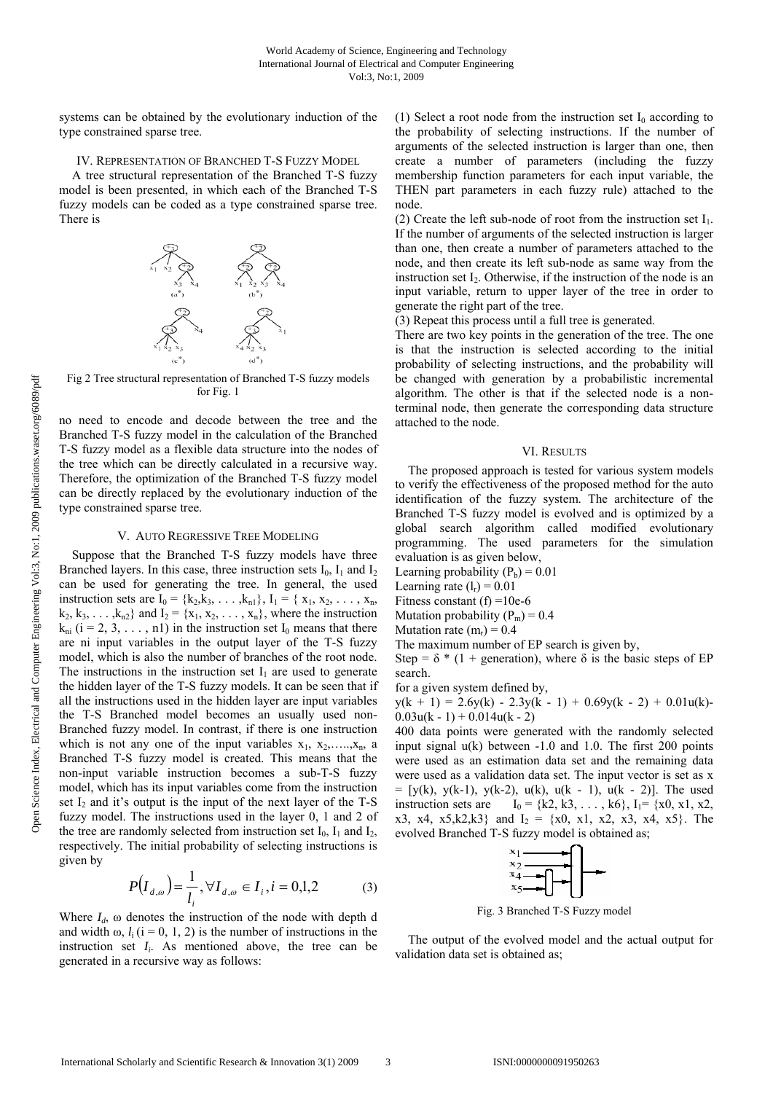systems can be obtained by the evolutionary induction of the type constrained sparse tree.

IV. REPRESENTATION OF BRANCHED T-S FUZZY MODEL

A tree structural representation of the Branched T-S fuzzy model is been presented, in which each of the Branched T-S fuzzy models can be coded as a type constrained sparse tree. There is



Fig 2 Tree structural representation of Branched T-S fuzzy models for Fig. 1

no need to encode and decode between the tree and the Branched T-S fuzzy model in the calculation of the Branched T-S fuzzy model as a flexible data structure into the nodes of the tree which can be directly calculated in a recursive way. Therefore, the optimization of the Branched T-S fuzzy model can be directly replaced by the evolutionary induction of the type constrained sparse tree.

# V. AUTO REGRESSIVE TREE MODELING

Suppose that the Branched T-S fuzzy models have three Branched layers. In this case, three instruction sets  $I_0$ ,  $I_1$  and  $I_2$ can be used for generating the tree. In general, the used instruction sets are  $I_0 = \{k_2, k_3, \ldots, k_{n1}\}, I_1 = \{x_1, x_2, \ldots, x_n,$  $k_2, k_3, \ldots, k_{n2}$  and  $I_2 = \{x_1, x_2, \ldots, x_n\}$ , where the instruction  $k_{ni}$  (i = 2, 3, ..., n1) in the instruction set  $I_0$  means that there are ni input variables in the output layer of the T-S fuzzy model, which is also the number of branches of the root node. The instructions in the instruction set  $I_1$  are used to generate the hidden layer of the T-S fuzzy models. It can be seen that if all the instructions used in the hidden layer are input variables the T-S Branched model becomes an usually used non-Branched fuzzy model. In contrast, if there is one instruction which is not any one of the input variables  $x_1, x_2, \ldots, x_n$ , a Branched T-S fuzzy model is created. This means that the non-input variable instruction becomes a sub-T-S fuzzy model, which has its input variables come from the instruction set  $I_2$  and it's output is the input of the next layer of the T-S fuzzy model. The instructions used in the layer 0, 1 and 2 of the tree are randomly selected from instruction set  $I_0$ ,  $I_1$  and  $I_2$ , respectively. The initial probability of selecting instructions is given by

$$
P(I_{d,\omega}) = \frac{1}{l_i}, \forall I_{d,\omega} \in I_i, i = 0,1,2
$$
 (3)

Where  $I_d$ ,  $\omega$  denotes the instruction of the node with depth d and width  $\omega$ ,  $l_i$  (i = 0, 1, 2) is the number of instructions in the instruction set  $I_i$ . As mentioned above, the tree can be generated in a recursive way as follows:

(1) Select a root node from the instruction set  $I_0$  according to the probability of selecting instructions. If the number of arguments of the selected instruction is larger than one, then create a number of parameters (including the fuzzy membership function parameters for each input variable, the THEN part parameters in each fuzzy rule) attached to the node.

(2) Create the left sub-node of root from the instruction set  $I_1$ . If the number of arguments of the selected instruction is larger than one, then create a number of parameters attached to the node, and then create its left sub-node as same way from the instruction set  $I_2$ . Otherwise, if the instruction of the node is an input variable, return to upper layer of the tree in order to generate the right part of the tree.

(3) Repeat this process until a full tree is generated.

There are two key points in the generation of the tree. The one is that the instruction is selected according to the initial probability of selecting instructions, and the probability will be changed with generation by a probabilistic incremental algorithm. The other is that if the selected node is a nonterminal node, then generate the corresponding data structure attached to the node.

## VI. RESULTS

The proposed approach is tested for various system models to verify the effectiveness of the proposed method for the auto identification of the fuzzy system. The architecture of the Branched T-S fuzzy model is evolved and is optimized by a global search algorithm called modified evolutionary programming. The used parameters for the simulation evaluation is as given below,

Learning probability  $(P_b) = 0.01$ 

Learning rate  $(l_r) = 0.01$ 

Fitness constant (f) =  $10e-6$ 

Mutation probability  $(P_m) = 0.4$ 

Mutation rate  $(m_r) = 0.4$ 

The maximum number of EP search is given by,

Step =  $\delta$  \* (1 + generation), where  $\delta$  is the basic steps of EP search.

for a given system defined by,

 $y(k + 1) = 2.6y(k) - 2.3y(k - 1) + 0.69y(k - 2) + 0.01u(k)$  $0.03u(k - 1) + 0.014u(k - 2)$ 

400 data points were generated with the randomly selected input signal u(k) between -1.0 and 1.0. The first 200 points were used as an estimation data set and the remaining data were used as a validation data set. The input vector is set as x  $=$  [y(k), y(k-1), y(k-2), u(k), u(k - 1), u(k - 2)]. The used instruction sets are  $I_0 = {k2, k3, ..., k6}, I_1 = {x0, x1, x2}$ x3, x4, x5, k2, k3} and  $I_2 = \{x0, x1, x2, x3, x4, x5\}$ . The evolved Branched T-S fuzzy model is obtained as;



Fig. 3 Branched T-S Fuzzy model

The output of the evolved model and the actual output for validation data set is obtained as;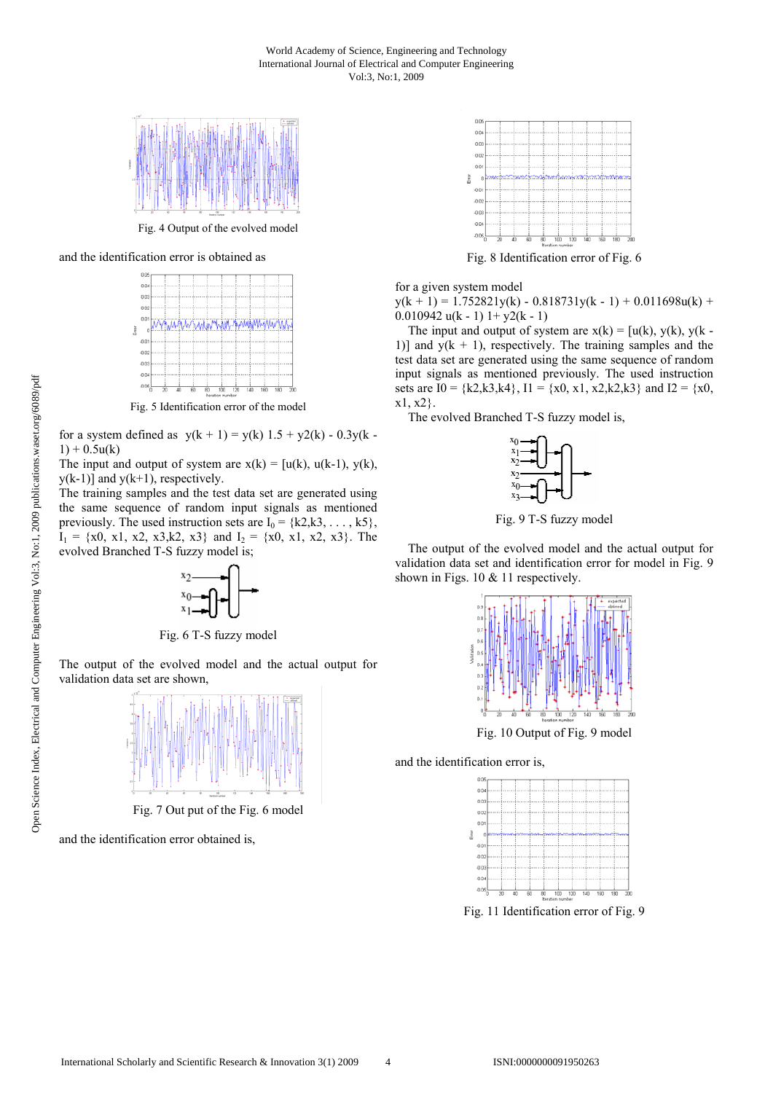

Fig. 4 Output of the evolved model

and the identification error is obtained as



Fig. 5 Identification error of the model

for a system defined as  $y(k + 1) = y(k) 1.5 + y2(k) - 0.3y(k - 1)$  $1) + 0.5u(k)$ 

The input and output of system are  $x(k) = [u(k), u(k-1), y(k)]$ ,  $y(k-1)$ ] and  $y(k+1)$ , respectively.

The training samples and the test data set are generated using the same sequence of random input signals as mentioned previously. The used instruction sets are  $I_0 = \{k2, k3, \dots, k5\}$ ,  $I_1 = \{x0, x1, x2, x3, k2, x3\}$  and  $I_2 = \{x0, x1, x2, x3\}$ . The evolved Branched T-S fuzzy model is;



Fig. 6 T-S fuzzy model

The output of the evolved model and the actual output for validation data set are shown,



Fig. 7 Out put of the Fig. 6 model

and the identification error obtained is,



Fig. 8 Identification error of Fig. 6

for a given system model

 $y(k + 1) = 1.752821y(k) - 0.818731y(k - 1) + 0.011698u(k) +$ 0.010942 u(k - 1)  $1+y2(k - 1)$ 

The input and output of system are  $x(k) = [u(k), y(k), y(k)]$ 1)] and  $y(k + 1)$ , respectively. The training samples and the test data set are generated using the same sequence of random input signals as mentioned previously. The used instruction sets are  $I0 = \{k2, k3, k4\}$ ,  $I1 = \{x0, x1, x2, k2, k3\}$  and  $I2 = \{x0,$ x1, x2}.

The evolved Branched T-S fuzzy model is,



Fig. 9 T-S fuzzy model

The output of the evolved model and the actual output for validation data set and identification error for model in Fig. 9 shown in Figs. 10 & 11 respectively.



Fig. 10 Output of Fig. 9 model

and the identification error is,



Fig. 11 Identification error of Fig. 9